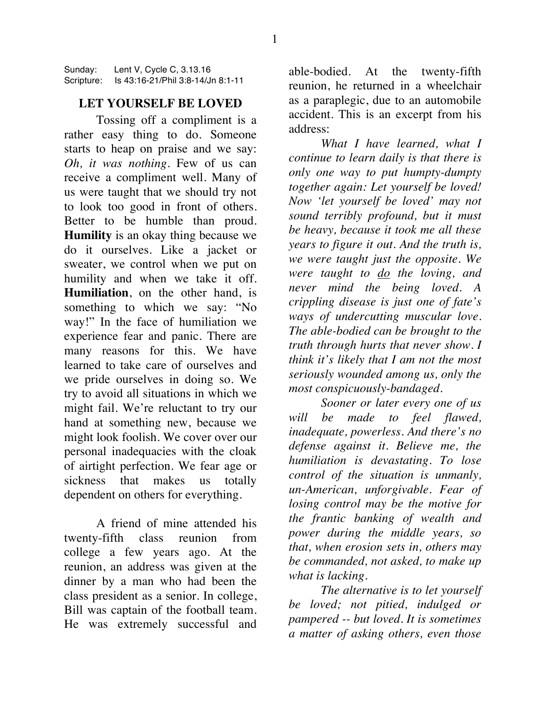Sunday: Lent V, Cycle C, 3.13.16 Scripture: Is 43:16-21/Phil 3:8-14/Jn 8:1-11

## **LET YOURSELF BE LOVED**

Tossing off a compliment is a rather easy thing to do. Someone starts to heap on praise and we say: *Oh, it was nothing.* Few of us can receive a compliment well. Many of us were taught that we should try not to look too good in front of others. Better to be humble than proud. **Humility** is an okay thing because we do it ourselves. Like a jacket or sweater, we control when we put on humility and when we take it off. **Humiliation**, on the other hand, is something to which we say: "No way!" In the face of humiliation we experience fear and panic. There are many reasons for this. We have learned to take care of ourselves and we pride ourselves in doing so. We try to avoid all situations in which we might fail. We're reluctant to try our hand at something new, because we might look foolish. We cover over our personal inadequacies with the cloak of airtight perfection. We fear age or sickness that makes us totally dependent on others for everything.

A friend of mine attended his twenty-fifth class reunion from college a few years ago. At the reunion, an address was given at the dinner by a man who had been the class president as a senior. In college, Bill was captain of the football team. He was extremely successful and

able-bodied. At the twenty-fifth reunion, he returned in a wheelchair as a paraplegic, due to an automobile accident. This is an excerpt from his address:

*What I have learned, what I continue to learn daily is that there is only one way to put humpty-dumpty together again: Let yourself be loved! Now 'let yourself be loved' may not sound terribly profound, but it must be heavy, because it took me all these years to figure it out. And the truth is, we were taught just the opposite. We were taught to do the loving, and never mind the being loved. A crippling disease is just one of fate's ways of undercutting muscular love. The able-bodied can be brought to the truth through hurts that never show. I think it's likely that I am not the most seriously wounded among us, only the most conspicuously-bandaged.*

*Sooner or later every one of us will be made to feel flawed, inadequate, powerless. And there's no defense against it. Believe me, the humiliation is devastating. To lose control of the situation is unmanly, un-American, unforgivable. Fear of losing control may be the motive for the frantic banking of wealth and power during the middle years, so that, when erosion sets in, others may be commanded, not asked, to make up what is lacking.*

*The alternative is to let yourself be loved; not pitied, indulged or pampered -- but loved. It is sometimes a matter of asking others, even those*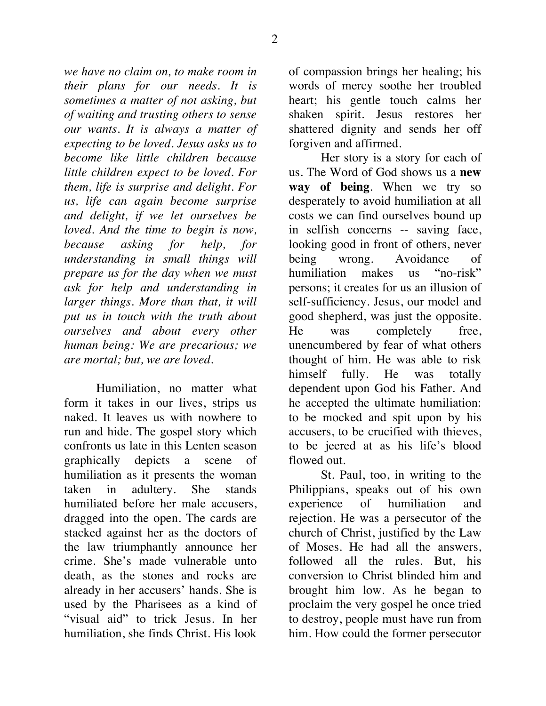*we have no claim on, to make room in their plans for our needs. It is sometimes a matter of not asking, but of waiting and trusting others to sense our wants. It is always a matter of expecting to be loved. Jesus asks us to become like little children because little children expect to be loved. For them, life is surprise and delight. For us, life can again become surprise and delight, if we let ourselves be loved. And the time to begin is now, because asking for help, for understanding in small things will prepare us for the day when we must ask for help and understanding in larger things. More than that, it will put us in touch with the truth about ourselves and about every other human being: We are precarious; we are mortal; but, we are loved.*

Humiliation, no matter what form it takes in our lives, strips us naked. It leaves us with nowhere to run and hide. The gospel story which confronts us late in this Lenten season graphically depicts a scene of humiliation as it presents the woman taken in adultery. She stands humiliated before her male accusers, dragged into the open. The cards are stacked against her as the doctors of the law triumphantly announce her crime. She's made vulnerable unto death, as the stones and rocks are already in her accusers' hands. She is used by the Pharisees as a kind of "visual aid" to trick Jesus. In her humiliation, she finds Christ. His look

of compassion brings her healing; his words of mercy soothe her troubled heart; his gentle touch calms her shaken spirit. Jesus restores her shattered dignity and sends her off forgiven and affirmed.

Her story is a story for each of us. The Word of God shows us a **new way of being**. When we try so desperately to avoid humiliation at all costs we can find ourselves bound up in selfish concerns -- saving face, looking good in front of others, never being wrong. Avoidance of humiliation makes us "no-risk" persons; it creates for us an illusion of self-sufficiency. Jesus, our model and good shepherd, was just the opposite. He was completely free, unencumbered by fear of what others thought of him. He was able to risk himself fully. He was totally dependent upon God his Father. And he accepted the ultimate humiliation: to be mocked and spit upon by his accusers, to be crucified with thieves, to be jeered at as his life's blood flowed out.

St. Paul, too, in writing to the Philippians, speaks out of his own experience of humiliation and rejection. He was a persecutor of the church of Christ, justified by the Law of Moses. He had all the answers, followed all the rules. But, his conversion to Christ blinded him and brought him low. As he began to proclaim the very gospel he once tried to destroy, people must have run from him. How could the former persecutor